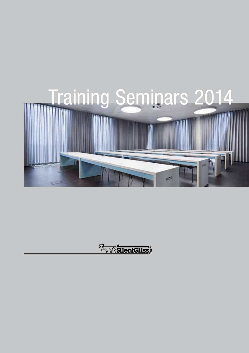

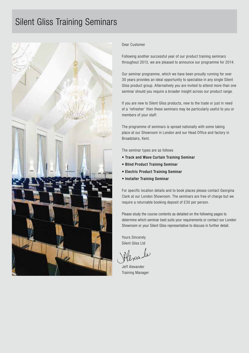## Silent Gliss Training Seminars



#### Dear Customer

Following another successful year of our product training seminars throughout 2013, we are pleased to announce our programme for 2014.

Our seminar programme, which we have been proudly running for over 30 years provides an ideal opportunity to specialise in any single Silent Gliss product group. Alternatively you are invited to attend more than one seminar should you require a broader insight across our product range.

If you are new to Silent Gliss products, new to the trade or just in need of a 'refresher' then these seminars may be particularly useful to you or members of your staff.

The programme of seminars is spread nationally with some taking place at our Showroom in London and our Head Office and factory in Broadstairs, Kent.

The seminar types are as follows

- Track and Wave Curtain Training Seminar
- Blind Product Training Seminar
- Electric Product Training Seminar
- Installer Training Seminar

For specific location details and to book places please contact Georgina Clark at our London Showroom. The seminars are free of charge but we require a returnable booking deposit of £30 per person.

Please study the course contents as detailed on the following pages to determine which seminar best suits your requirements or contact our London Showroom or your Silent Gliss representative to discuss in further detail.

Yours Sincerely Silent Gliss Ltd

Jeff Alexander Training Manager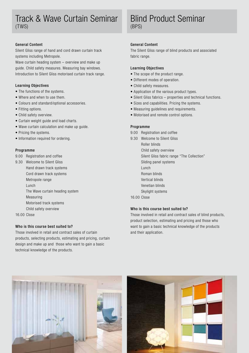### Track & Wave Curtain Seminar (TWS)

#### General Content

Silent Gliss range of hand and cord drawn curtain track systems including Metropole.

Wave curtain heading system – overview and make up guide. Child safety measures. Measuring bay windows. Introduction to Silent Gliss motorised curtain track range.

#### Learning Objectives

- The functions of the systems.
- Where and when to use them.
- Colours and standard/optional accessories.
- Fitting options.
- Child safety overview.
- Curtain weight guide and load charts.
- Wave curtain calculation and make up guide.
- Pricing the systems.
- Information required for ordering.

#### Programme

- 9.00 Registration and coffee
- 9.30 Welcome to Silent Gliss Hand drawn track systems Cord drawn track systems Metropole range Lunch The Wave curtain heading system Measuring Motorised track systems Child safety overview
- 16.00 Close

#### Who is this course best suited to?

Those involved in retail and contract sales of curtain products, selecting products, estimating and pricing, curtain design and make up and those who want to gain a basic technical knowledge of the products.

### Blind Product Seminar (BPS)

#### General Content

The Silent Gliss range of blind products and associated fabric range.

#### Learning Objectives

- The scope of the product range.
- Different modes of operation.
- Child safety measures.
- Application of the various product types.
- Silent Gliss fabrics properties and technical functions.
- Sizes and capabilities. Pricing the systems.
- Measuring guidelines and requirements.
- Motorised and remote control options.

#### Programme

- 9.00 Registration and coffee
- 9.30 Welcome to Silent Gliss
	- Roller blinds
	- Child safety overview
	- Silent Gliss fabric range "The Collection"
	- Sliding panel systems
	- Lunch
	- Roman blinds
	- Vertical blinds
	- Venetian blinds
	- Skylight systems

#### 16.00 Close

#### Who is this course best suited to?

Those involved in retail and contract sales of blind products, product selection, estimating and pricing and those who want to gain a basic technical knowledge of the products and their application.



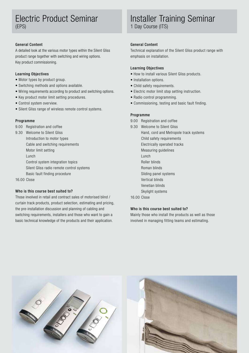### Electric Product Seminar (EPS)

#### General Content

A detailed look at the various motor types within the Silent Gliss product range together with switching and wiring options. Key product commissioning.

#### Learning Objectives

- Motor types by product group.
- Switching methods and options available.
- Wiring requirements according to product and switching options.
- Key product motor limit setting procedures.
- Control system overview.
- Silent Gliss range of wireless remote control systems.

#### Programme

- 9.00 Registration and coffee
- 9.30 Welcome to Silent Gliss
	- Introduction to motor types
	- Cable and switching requirements

Motor limit setting

- Lunch
- Control system integration topics
- Silent Gliss radio remote control systems
- Basic fault finding procedure

16.00 Close

#### Who is this course best suited to?

Those involved in retail and contract sales of motorised blind / curtain track products, product selection, estimating and pricing, the pre-installation discussion and planning of cabling and switching requirements, installers and those who want to gain a basic technical knowledge of the products and their application.

## Installer Training Seminar

1 Day Course (ITS)

#### General Content

Technical explanation of the Silent Gliss product range with emphasis on installation.

#### Learning Objectives

- How to install various Silent Gliss products.
- Installation options.
- Child safety requirements.
- Electric motor limit stop setting instruction.
- Radio control programming.
- Commissioning, testing and basic fault finding.

#### Programme

- 9.00 Registration and coffee
- 9.30 Welcome to Silent Gliss Hand, cord and Metropole track systems Child safety requirements Electrically operated tracks Measuring guidelines Lunch Roller blinds Roman blinds Sliding panel systems Vertical blinds Venetian blinds Skylight systems

#### 16.00 Close

#### Who is this course best suited to?

Mainly those who install the products as well as those involved in managing fitting teams and estimating.



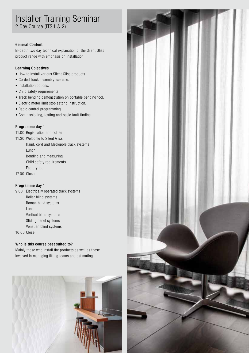# Installer Training Seminar

2 Day Course (ITS 1 & 2)

#### General Content

In-depth two day technical explanation of the Silent Gliss product range with emphasis on installation.

#### Learning Objectives

- How to install various Silent Gliss products.
- Corded track assembly exercise.
- Installation options.
- Child safety requirements.
- Track bending demonstration on portable bending tool.
- Electric motor limit stop setting instruction.
- Radio control programming.
- Commissioning, testing and basic fault finding.

#### Programme day 1

- 11.00 Registration and coffee
- 11.30 Welcome to Silent Gliss

Hand, cord and Metropole track systems Lunch Bending and measuring

- Child safety requirements
- Factory tour
- 17.00 Close

#### Programme day 1

9.00 Electrically operated track systems Roller blind systems Roman blind systems Lunch Vertical blind systems Sliding panel systems Venetian blind systems

16.00 Close

#### Who is this course best suited to?

Mainly those who install the products as well as those involved in managing fitting teams and estimating.



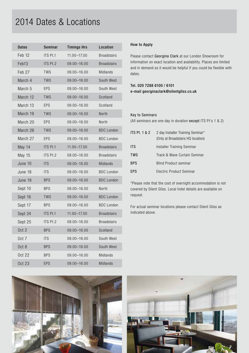## 2014 Dates & Locations

| <b>Dates</b>      | Seminar    | <b>Timings Hrs</b> | Location           |
|-------------------|------------|--------------------|--------------------|
| Feb <sub>12</sub> | ITS Pt.1   | 11.00-17.00        | <b>Broadstairs</b> |
| Feb13             | ITS Pt.2   | 09.00-16.00        | <b>Broadstairs</b> |
| Feb 27            | <b>TWS</b> | 09.00-16.00        | Midlands           |
| March 4           | <b>TWS</b> | 09.00-16.00        | South West         |
| March 5           | EPS        | 09.00-16.00        | South West         |
| March 12          | <b>TWS</b> | 09.00-16.00        | Scotland           |
| March 13          | EPS        | 09.00-16.00        | Scotland           |
| March 19          | <b>TWS</b> | 09.00-16.00        | North              |
| March 20          | EPS        | 09.00-16.00        | North              |
| March 26          | <b>TWS</b> | 09.00-16.00        | <b>BDC</b> London  |
| March 27          | EPS        | $09.00 - 16.00$    | <b>BDC</b> London  |
| May 14            | ITS Pt.1   | $11.00 - 17.00$    | <b>Broadstairs</b> |
| <b>May 15</b>     | ITS Pt.2   | 09.00-16.00        | <b>Broadstairs</b> |
| June 10           | <b>ITS</b> | 09.00-16.00        | Midlands           |
| June 18           | <b>ITS</b> | 09.00-16.00        | <b>BDC</b> London  |
| June 19           | <b>BPS</b> | 09.00-16.00        | <b>BDC</b> London  |
| Sept 10           | <b>BPS</b> | 09.00-16.00        | North              |
| Sept 16           | TWS        | 09.00-16.00        | <b>BDC</b> London  |
| Sept 17           | <b>BPS</b> | 09.00-16.00        | <b>BDC</b> London  |
| Sept 24           | ITS Pt.1   | $11.00 - 17.00$    | <b>Broadstairs</b> |
| Sept 25           | ITS Pt.2   | $09.00 - 16.00$    | <b>Broadstairs</b> |
| Oct 2             | <b>BPS</b> | 09.00-16.00        | Scotland           |
| Oct 7             | <b>ITS</b> | $09.00 - 16.00$    | South West         |
| Oct 8             | <b>BPS</b> | 09.00-16.00        | South West         |
| <b>Oct 22</b>     | <b>BPS</b> | $09.00 - 16.00$    | Midlands           |
| <b>Oct 23</b>     | EPS        | $09.00 - 16.00$    | Midlands           |

### How to Apply

Please contact Georgina Clark at our London Showroom for information on exact location and availability. Places are limited and in demand so it would be helpful if you could be flexible with dates.

#### Tel. 020 7288 6100 / 6101 e-mail georginaclark@silentgliss.co.uk

#### Key to Seminars

(All seminars are one day in duration except ITS Pt's 1 & 2)

| ITS Pt. $1 & 2$ | 2 day Installer Training Seminar*<br>(Only at Broadstairs HQ location) |
|-----------------|------------------------------------------------------------------------|
| <b>ITS</b>      | Installer Training Seminar                                             |
| <b>TWS</b>      | Track & Wave Curtain Seminar                                           |
| <b>BPS</b>      | <b>Blind Product seminar</b>                                           |
| <b>FPS</b>      | Electric Product Seminar                                               |

\*Please note that the cost of overnight accommodation is not covered by Silent Gliss. Local hotel details are available on request.

For actual seminar locations please contact Silent Gliss as indicated above.



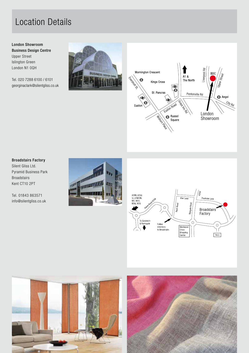## Location Details

#### London Showroom Business Design Centre Upper Street Islington Green London N1 0QH

Tel. 020 7288 6100 / 6101 georginaclark@silentgliss.co.uk





#### Broadstairs Factory

Silent Gliss Ltd. Pyramid Business Park Broadstairs Kent CT10 2PT

Tel. 01843 863571 info@silentgliss.co.uk